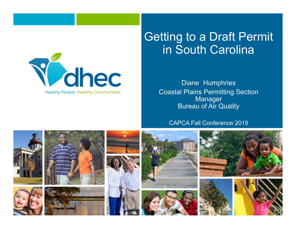

#### Getting to a Draft Permit in South Carolina

Diane Humphries Coastal Plains Permitting Section Manager Bureau of Air Quality

#### CAPCA Fall Conference 2019

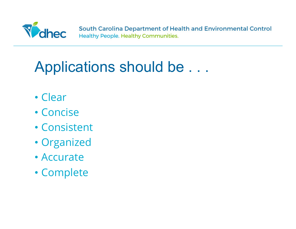

### Applications should be . . .

- Clear
- Concise
- Consistent
- Organized
- Accurate
- Complete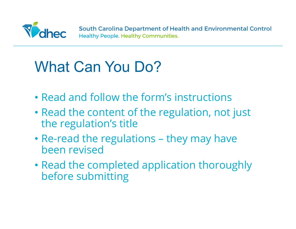

# What Can You Do?

- Read and follow the form's instructions
- Read the content of the regulation, not just the regulation's title
- Re-read the regulations they may have been revised
- Read the completed application thoroughly before submitting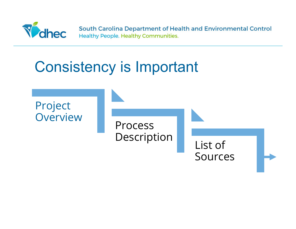

#### Consistency is Important

Project **Overview** 

Process Description

List of Sources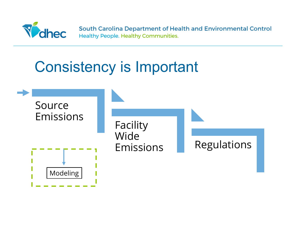

#### Consistency is Important

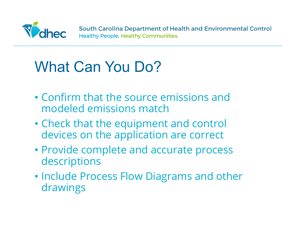

# What Can You Do?

- Confirm that the source emissions and modeled emissions match
- Check that the equipment and control devices on the application are correct
- Provide complete and accurate process descriptions
- Include Process Flow Diagrams and other drawings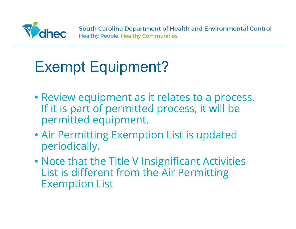

### Exempt Equipment?

- Review equipment as it relates to a process. If it is part of permitted process, it will be permitted equipment.
- Air Permitting Exemption List is updated periodically.
- Note that the Title V Insignificant Activities List is different from the Air Permitting Exemption List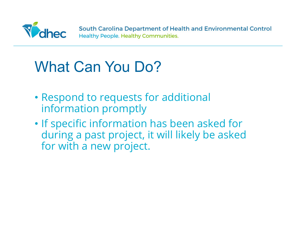

### What Can You Do?

- Respond to requests for additional information promptly
- If specific information has been asked for during a past project, it will likely be asked for with a new project.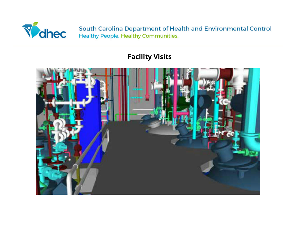

#### **Facility Visits**

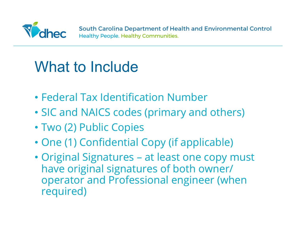

- Federal Tax Identification Number
- SIC and NAICS codes (primary and others)
- Two (2) Public Copies
- One (1) Confidential Copy (if applicable)
- Original Signatures at least one copy must have original signatures of both owner/ operator and Professional engineer (when required)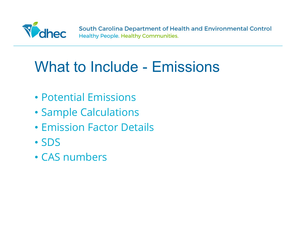

#### What to Include - Emissions

- Potential Emissions
- Sample Calculations
- Emission Factor Details
- SDS
- CAS numbers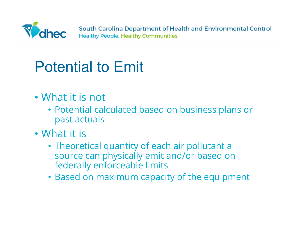

# Potential to Emit

- What it is not
	- Potential calculated based on business plans or past actuals
- What it is
	- Theoretical quantity of each air pollutant a source can physically emit and/or based on federally enforceable limits
	- Based on maximum capacity of the equipment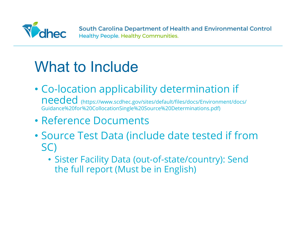

- Co-location applicability determination if needed (https://www.scdhec.gov/sites/default/files/docs/Environment/docs/ Guidance%20for%20CollocationSingle%20Source%20Determinations.pdf)
- Reference Documents
- Source Test Data (include date tested if from SC)
	- Sister Facility Data (out-of-state/country): Send the full report (Must be in English)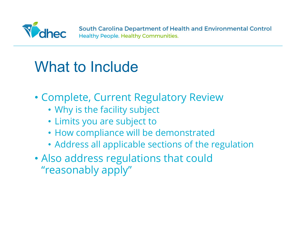

- Complete, Current Regulatory Review
	- Why is the facility subject
	- Limits you are subject to
	- How compliance will be demonstrated
	- Address all applicable sections of the regulation
- Also address regulations that could "reasonably apply"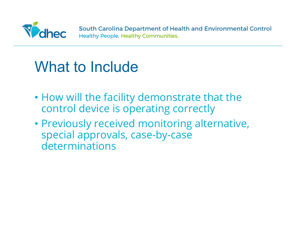

- How will the facility demonstrate that the control device is operating correctly
- Previously received monitoring alternative, special approvals, case-by-case determinations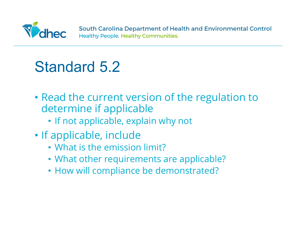

#### Standard 5.2

- Read the current version of the regulation to determine if applicable
	- If not applicable, explain why not
- If applicable, include
	- What is the emission limit?
	- What other requirements are applicable?
	- How will compliance be demonstrated?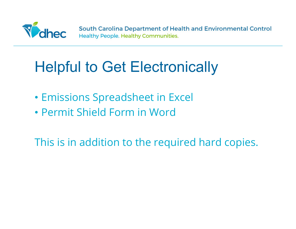

### Helpful to Get Electronically

- Emissions Spreadsheet in Excel
- Permit Shield Form in Word

This is in addition to the required hard copies.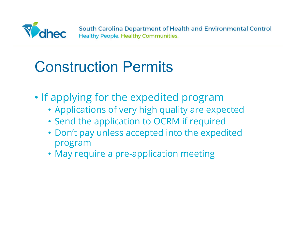

### Construction Permits

- If applying for the expedited program
	- Applications of very high quality are expected
	- Send the application to OCRM if required
	- Don't pay unless accepted into the expedited program
	- May require a pre-application meeting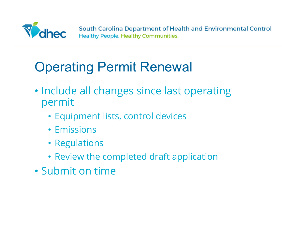

#### Operating Permit Renewal

- Include all changes since last operating permit
	- Equipment lists, control devices
	- Emissions
	- Regulations
	- Review the completed draft application
- Submit on time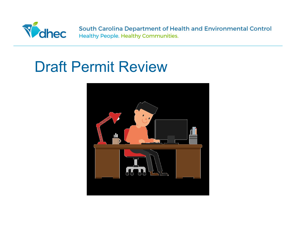

#### Draft Permit Review

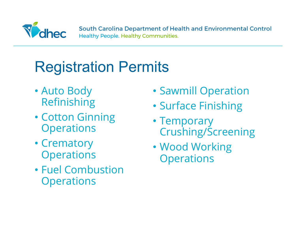

# Registration Permits

- Auto Body Refinishing
- Cotton Ginning **Operations**
- Crematory **Operations**
- Fuel Combustion **Operations**
- Sawmill Operation
- Surface Finishing
- Temporary Crushing/Screening
- Wood Working **Operations**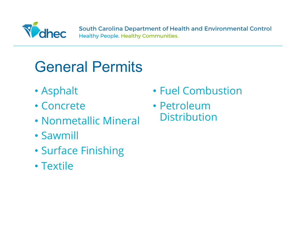

#### General Permits

- Asphalt
- Concrete
- Nonmetallic Mineral
- Sawmill
- Surface Finishing
- Textile
- Fuel Combustion
- Petroleum **Distribution**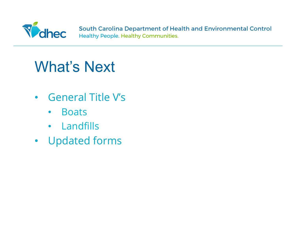

#### What's Next

- General Title V's
	- Boats
	- Landfills
- Updated forms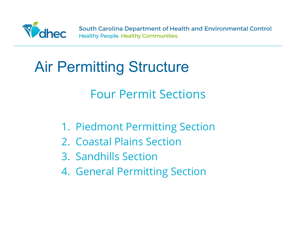

### Air Permitting Structure

#### Four Permit Sections

- 1. Piedmont Permitting Section
- 2. Coastal Plains Section
- 3. Sandhills Section
- 4. General Permitting Section